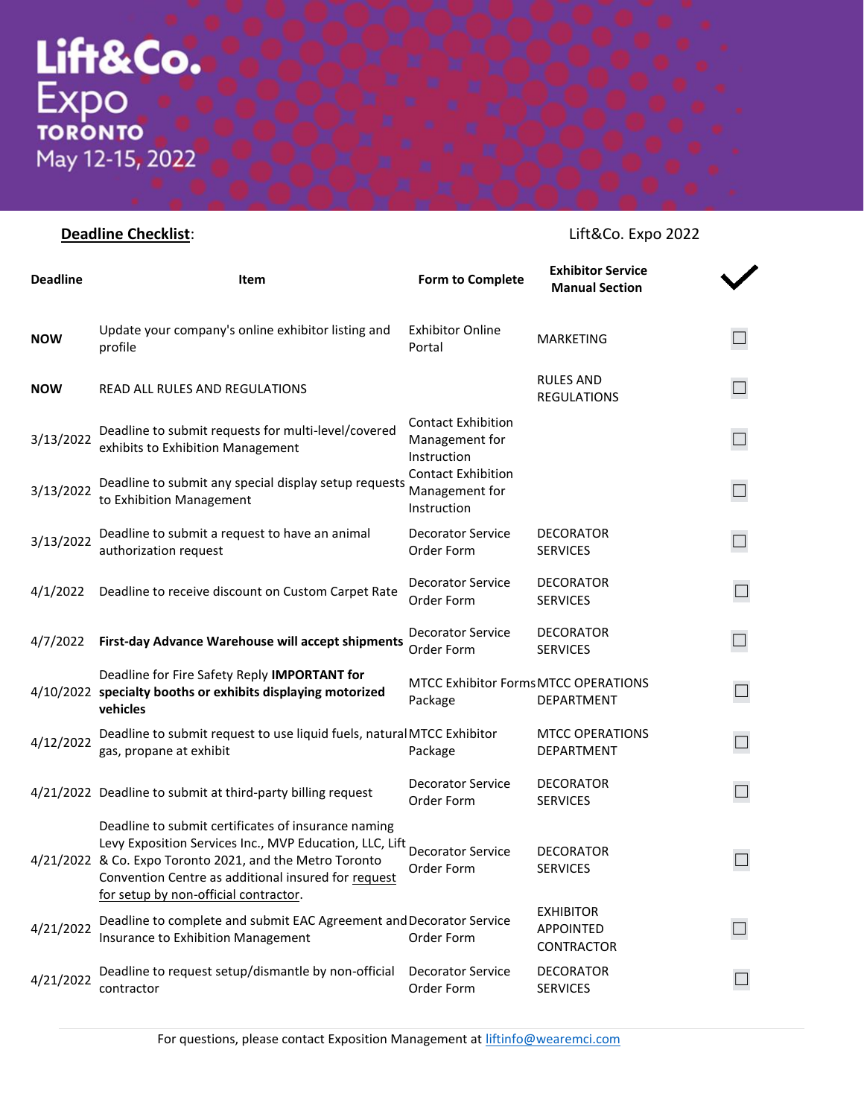## **Deadline Checklist**: **Lift&Co. Expo 2022**

| <b>Deadline</b> | Item                                                                                                                                                                                                                                                                       | <b>Form to Complete</b>                                    | <b>Exhibitor Service</b><br><b>Manual Section</b>  |  |
|-----------------|----------------------------------------------------------------------------------------------------------------------------------------------------------------------------------------------------------------------------------------------------------------------------|------------------------------------------------------------|----------------------------------------------------|--|
| <b>NOW</b>      | Update your company's online exhibitor listing and<br>profile                                                                                                                                                                                                              | <b>Exhibitor Online</b><br>Portal                          | <b>MARKETING</b>                                   |  |
| <b>NOW</b>      | READ ALL RULES AND REGULATIONS                                                                                                                                                                                                                                             |                                                            | <b>RULES AND</b><br><b>REGULATIONS</b>             |  |
| 3/13/2022       | Deadline to submit requests for multi-level/covered<br>exhibits to Exhibition Management                                                                                                                                                                                   | <b>Contact Exhibition</b><br>Management for<br>Instruction |                                                    |  |
| 3/13/2022       | Deadline to submit any special display setup requests<br>to Exhibition Management                                                                                                                                                                                          | <b>Contact Exhibition</b><br>Management for<br>Instruction |                                                    |  |
| 3/13/2022       | Deadline to submit a request to have an animal<br>authorization request                                                                                                                                                                                                    | <b>Decorator Service</b><br>Order Form                     | <b>DECORATOR</b><br><b>SERVICES</b>                |  |
|                 | 4/1/2022 Deadline to receive discount on Custom Carpet Rate                                                                                                                                                                                                                | <b>Decorator Service</b><br>Order Form                     | <b>DECORATOR</b><br><b>SERVICES</b>                |  |
| 4/7/2022        | First-day Advance Warehouse will accept shipments                                                                                                                                                                                                                          | <b>Decorator Service</b><br>Order Form                     | <b>DECORATOR</b><br><b>SERVICES</b>                |  |
|                 | Deadline for Fire Safety Reply IMPORTANT for<br>4/10/2022 specialty booths or exhibits displaying motorized<br>vehicles                                                                                                                                                    | <b>MTCC Exhibitor Forms MTCC OPERATIONS</b><br>Package     | DEPARTMENT                                         |  |
| 4/12/2022       | Deadline to submit request to use liquid fuels, natural MTCC Exhibitor<br>gas, propane at exhibit                                                                                                                                                                          | Package                                                    | <b>MTCC OPERATIONS</b><br>DEPARTMENT               |  |
|                 | 4/21/2022 Deadline to submit at third-party billing request                                                                                                                                                                                                                | <b>Decorator Service</b><br>Order Form                     | <b>DECORATOR</b><br><b>SERVICES</b>                |  |
|                 | Deadline to submit certificates of insurance naming<br>Levy Exposition Services Inc., MVP Education, LLC, Lift<br>4/21/2022 & Co. Expo Toronto 2021, and the Metro Toronto<br>Convention Centre as additional insured for request<br>for setup by non-official contractor. | <b>Decorator Service</b><br>Order Form                     | <b>DECORATOR</b><br><b>SERVICES</b>                |  |
| 4/21/2022       | Deadline to complete and submit EAC Agreement and Decorator Service<br>Insurance to Exhibition Management                                                                                                                                                                  | Order Form                                                 | <b>EXHIBITOR</b><br><b>APPOINTED</b><br>CONTRACTOR |  |
| 4/21/2022       | Deadline to request setup/dismantle by non-official<br>contractor                                                                                                                                                                                                          | <b>Decorator Service</b><br>Order Form                     | <b>DECORATOR</b><br><b>SERVICES</b>                |  |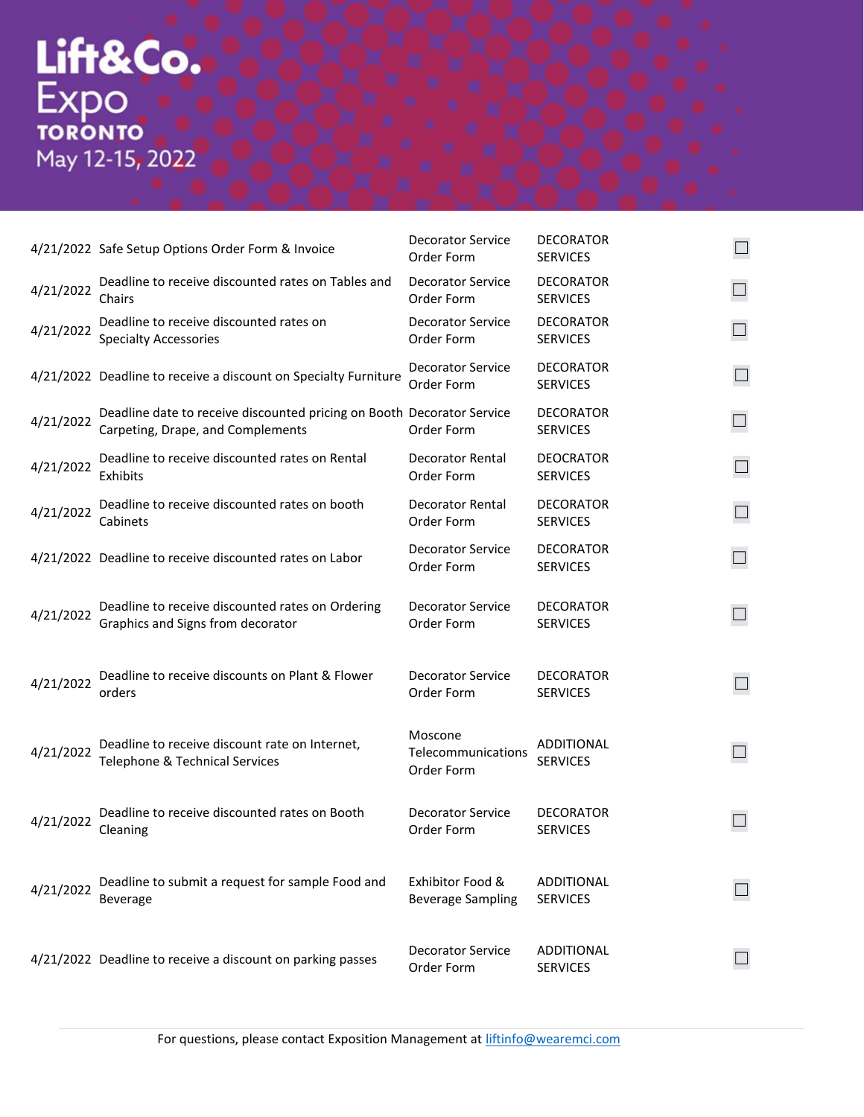## Lift&Co.<br>Expo<br>
TORONTO<br>
May 12-15, 2022

|           | 4/21/2022 Safe Setup Options Order Form & Invoice                                                           | <b>Decorator Service</b><br>Order Form       | <b>DECORATOR</b><br><b>SERVICES</b> |                   |
|-----------|-------------------------------------------------------------------------------------------------------------|----------------------------------------------|-------------------------------------|-------------------|
| 4/21/2022 | Deadline to receive discounted rates on Tables and<br>Chairs                                                | <b>Decorator Service</b><br>Order Form       | <b>DECORATOR</b><br><b>SERVICES</b> |                   |
| 4/21/2022 | Deadline to receive discounted rates on<br><b>Specialty Accessories</b>                                     | Decorator Service<br>Order Form              | <b>DECORATOR</b><br><b>SERVICES</b> | $\Box$            |
|           | 4/21/2022 Deadline to receive a discount on Specialty Furniture                                             | <b>Decorator Service</b><br>Order Form       | <b>DECORATOR</b><br><b>SERVICES</b> |                   |
| 4/21/2022 | Deadline date to receive discounted pricing on Booth Decorator Service<br>Carpeting, Drape, and Complements | Order Form                                   | <b>DECORATOR</b><br><b>SERVICES</b> | $\Box$            |
| 4/21/2022 | Deadline to receive discounted rates on Rental<br>Exhibits                                                  | <b>Decorator Rental</b><br>Order Form        | <b>DEOCRATOR</b><br><b>SERVICES</b> |                   |
| 4/21/2022 | Deadline to receive discounted rates on booth<br>Cabinets                                                   | <b>Decorator Rental</b><br>Order Form        | <b>DECORATOR</b><br><b>SERVICES</b> |                   |
|           | 4/21/2022 Deadline to receive discounted rates on Labor                                                     | <b>Decorator Service</b><br>Order Form       | <b>DECORATOR</b><br><b>SERVICES</b> | $\Box$            |
| 4/21/2022 | Deadline to receive discounted rates on Ordering<br>Graphics and Signs from decorator                       | <b>Decorator Service</b><br>Order Form       | <b>DECORATOR</b><br><b>SERVICES</b> |                   |
| 4/21/2022 | Deadline to receive discounts on Plant & Flower<br>orders                                                   | <b>Decorator Service</b><br>Order Form       | <b>DECORATOR</b><br><b>SERVICES</b> |                   |
| 4/21/2022 | Deadline to receive discount rate on Internet,<br>Telephone & Technical Services                            | Moscone<br>Telecommunications<br>Order Form  | ADDITIONAL<br><b>SERVICES</b>       | $\vert \ \ \vert$ |
| 4/21/2022 | Deadline to receive discounted rates on Booth<br>Cleaning                                                   | Decorator Service<br>Order Form              | <b>DECORATOR</b><br><b>SERVICES</b> |                   |
| 4/21/2022 | Deadline to submit a request for sample Food and<br><b>Beverage</b>                                         | Exhibitor Food &<br><b>Beverage Sampling</b> | ADDITIONAL<br><b>SERVICES</b>       |                   |
|           | 4/21/2022 Deadline to receive a discount on parking passes                                                  | <b>Decorator Service</b><br>Order Form       | ADDITIONAL<br><b>SERVICES</b>       |                   |